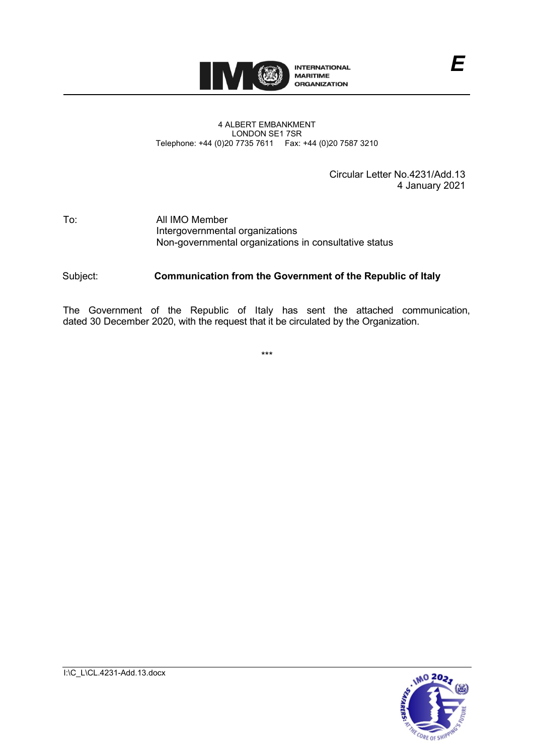

#### 4 ALBERT EMBANKMENT LONDON SE1 7SR Telephone: +44 (0)20 7735 7611 Fax: +44 (0)20 7587 3210

Circular Letter No.4231/Add.13 4 January 2021

*E*

### To: All IMO Member Intergovernmental organizations Non-governmental organizations in consultative status

### Subject: **Communication from the Government of the Republic of Italy**

The Government of the Republic of Italy has sent the attached communication, dated 30 December 2020, with the request that it be circulated by the Organization.

\*\*\*